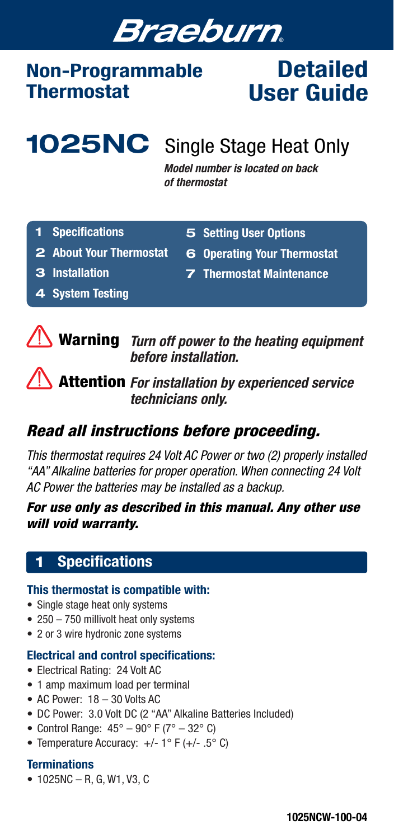# **Braeburn**

# Non-Programmable **Thermostat**

# **Detailed** User Guide

1025NC Single Stage Heat Only

*Model number is located on back of thermostat*

- 1 Specifications
- 5 Setting User Options
- 2 About Your Thermostat
- 6 Operating Your Thermostat 7 Thermostat Maintenance
- 3 Installation 4 System Testing



Warning *Turn off power to the heating equipment before installation.*

Attention *For installation by experienced service technicians only.*

# *Read all instructions before proceeding.*

*This thermostat requires 24 Volt AC Power or two (2) properly installed "AA" Alkaline batteries for proper operation. When connecting 24 Volt AC Power the batteries may be installed as a backup.* 

*For use only as described in this manual. Any other use will void warranty.*

## 1 Specifications

#### This thermostat is compatible with:

- Single stage heat only systems
- 250 750 millivolt heat only systems
- 2 or 3 wire hydronic zone systems

#### Electrical and control specifications:

- Electrical Rating: 24 Volt AC
- 1 amp maximum load per terminal
- AC Power: 18 30 Volts AC
- DC Power: 3.0 Volt DC (2 "AA" Alkaline Batteries Included)
- Control Range:  $45^{\circ} 90^{\circ}$  F ( $7^{\circ} 32^{\circ}$  C)
- Temperature Accuracy:  $+/- 1$ ° F ( $+/- .5$ °C)

### **Terminations**

• 1025NC – R, G, W1, V3, C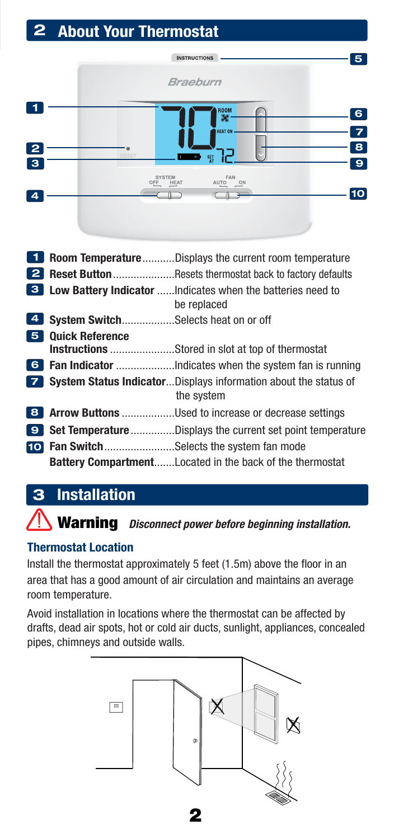# 2 About Your Thermostat

|                                               | <b>INSTRUCTIONS</b>                                                                | 5                                                 |
|-----------------------------------------------|------------------------------------------------------------------------------------|---------------------------------------------------|
|                                               | <b>Braeburn</b>                                                                    |                                                   |
| $\begin{array}{c} \boxed{2} \\ 3 \end{array}$ | $rac{1}{100}$<br><b>HEAT ON</b><br>קן<br><b>DOM:</b><br>RESET<br>SET <sub>AT</sub> | 6<br>$\overline{\mathbf{z}}$<br>8<br>$\mathbf{9}$ |
|                                               | SYSTEM<br>FAN<br>OFF HEAT<br>AUTO<br>$\overset{ON}{-}$                             | 10 <sup>1</sup>                                   |

| -1 |                                     | <b>Room TemperatureDisplays the current room temperature</b>                           |
|----|-------------------------------------|----------------------------------------------------------------------------------------|
|    |                                     | <b>2</b> Reset Button Resets thermostat back to factory defaults                       |
|    |                                     | 3 Low Battery Indicator Indicates when the batteries need to<br>be replaced            |
| 4  | System SwitchSelects heat on or off |                                                                                        |
| 5. | <b>Ouick Reference</b>              | <b>Instructions</b> Stored in slot at top of thermostat                                |
|    |                                     |                                                                                        |
|    |                                     | <b>7</b> System Status IndicatorDisplays information about the status of<br>the system |
| 8  |                                     | <b>Arrow Buttons</b> Used to increase or decrease settings                             |
| 9  |                                     | <b>Set Temperature</b> Displays the current set point temperature                      |
|    |                                     | <b>10</b> Fan SwitchSelects the system fan mode                                        |
|    |                                     | <b>Battery CompartmentLocated in the back of the thermostat</b>                        |

# 3 Installation

# Warning *Disconnect power before beginning installation.*

### Thermostat Location

Install the thermostat approximately 5 feet (1.5m) above the floor in an area that has a good amount of air circulation and maintains an average room temperature.

Avoid installation in locations where the thermostat can be affected by drafts, dead air spots, hot or cold air ducts, sunlight, appliances, concealed pipes, chimneys and outside walls.

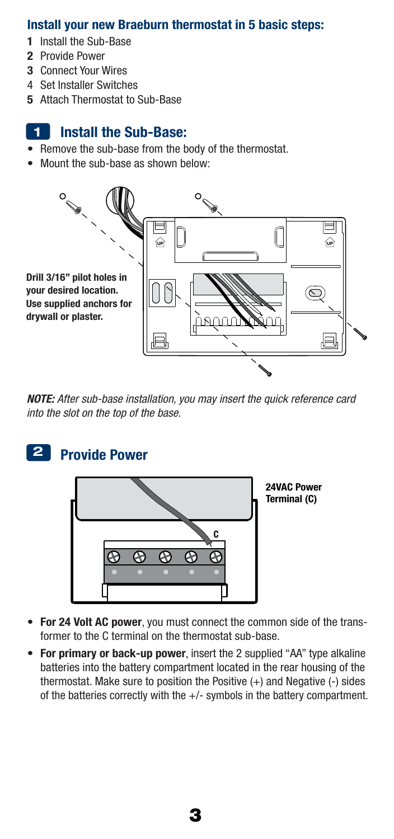#### Install your new Braeburn thermostat in 5 basic steps:

- 1 Install the Sub-Base
- 2 Provide Power
- 3 Connect Your Wires
- 4 Set Installer Switches
- 5 Attach Thermostat to Sub-Base

#### Install the Sub-Base: 1

- Remove the sub-base from the body of the thermostat.
- Mount the sub-base as shown below:



*NOTE: After sub-base installation, you may insert the quick reference card into the slot on the top of the base.*

## 2 Provide Power



- For 24 Volt AC power, you must connect the common side of the transformer to the C terminal on the thermostat sub-base.
- For primary or back-up power, insert the 2 supplied "AA" type alkaline batteries into the battery compartment located in the rear housing of the thermostat. Make sure to position the Positive (+) and Negative (-) sides of the batteries correctly with the  $+/-$  symbols in the battery compartment.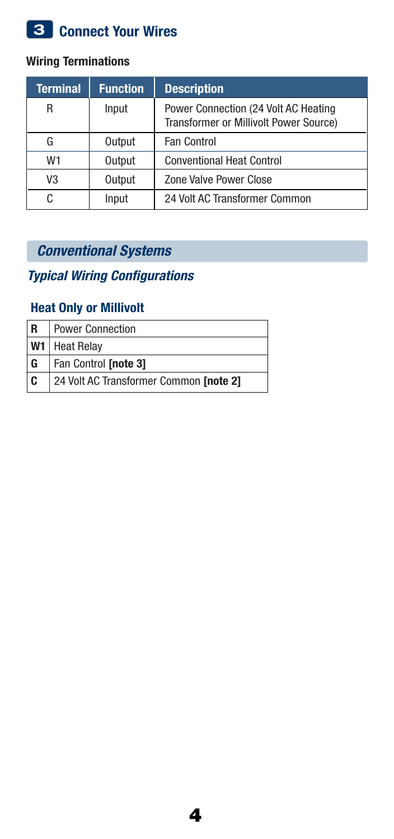# 3 Connect Your Wires

#### Wiring Terminations

| <b>Terminal</b> | <b>Function</b> | <b>Description</b>                                                             |
|-----------------|-----------------|--------------------------------------------------------------------------------|
| R               | Input           | Power Connection (24 Volt AC Heating<br>Transformer or Millivolt Power Source) |
| G               | Output          | <b>Fan Control</b>                                                             |
| W1              | Output          | <b>Conventional Heat Control</b>                                               |
| V <sub>3</sub>  | Output          | Zone Valve Power Close                                                         |
|                 | Input           | 24 Volt AC Transformer Common                                                  |

## *Conventional Systems*

## *Typical Wiring Configurations*

## Heat Only or Millivolt

| R         | <b>Power Connection</b>                |
|-----------|----------------------------------------|
| <b>W1</b> | Heat Relay                             |
| G         | Fan Control [note 3]                   |
| C         | 24 Volt AC Transformer Common [note 2] |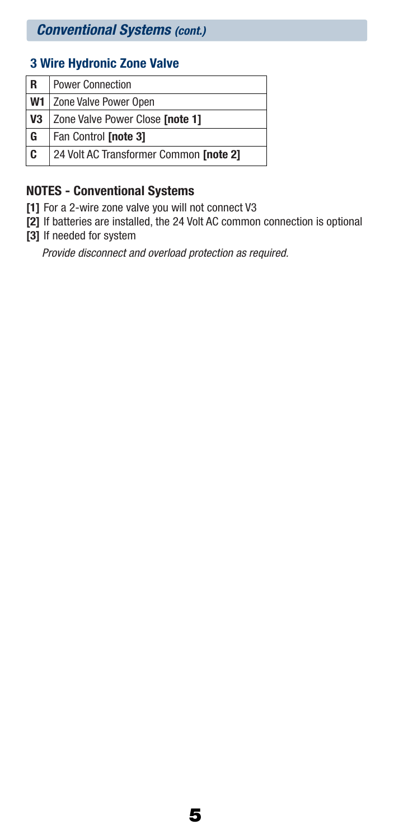# *Conventional Systems (cont.)*

## 3 Wire Hydronic Zone Valve

| R  | <b>Power Connection</b>                |
|----|----------------------------------------|
| W1 | <b>Zone Valve Power Open</b>           |
| V3 | Zone Valve Power Close [note 1]        |
| G  | Fan Control [note 3]                   |
| C  | 24 Volt AC Transformer Common [note 2] |

#### NOTES - Conventional Systems

- [1] For a 2-wire zone valve you will not connect V3
- [2] If batteries are installed, the 24 Volt AC common connection is optional
- [3] If needed for system

*Provide disconnect and overload protection as required.*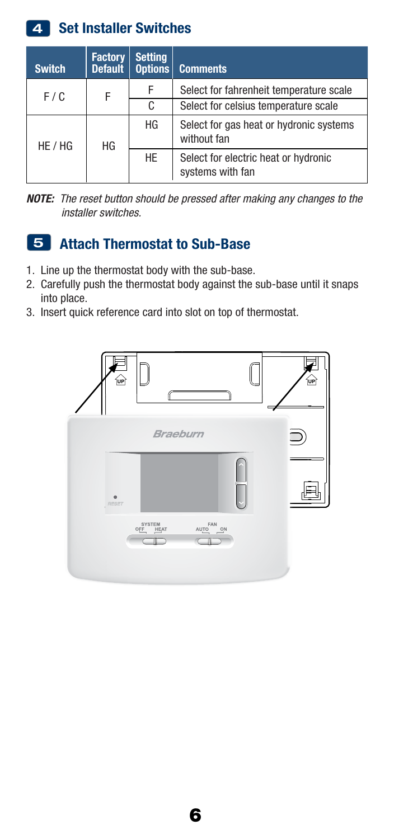# 4 Set Installer Switches

| <b>Switch</b> | <b>Factory</b><br><b>Default</b> | <b>Setting</b><br>Options | <b>Comments</b>                                          |
|---------------|----------------------------------|---------------------------|----------------------------------------------------------|
| F / C         | F                                | F                         | Select for fahrenheit temperature scale                  |
|               |                                  |                           | Select for celsius temperature scale                     |
|               | HG<br>HE / HG                    | ΗG                        | Select for gas heat or hydronic systems<br>without fan   |
|               |                                  | <b>HE</b>                 | Select for electric heat or hydronic<br>systems with fan |

*NOTE: The reset button should be pressed after making any changes to the installer switches.*

# 5 Attach Thermostat to Sub-Base

- 1. Line up the thermostat body with the sub-base.
- 2. Carefully push the thermostat body against the sub-base until it snaps into place.
- 3. Insert quick reference card into slot on top of thermostat.

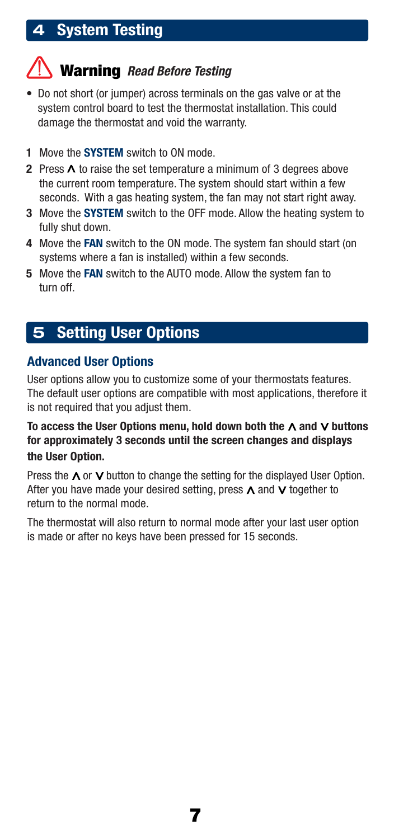# 4 System Testing

# Warning *Read Before Testing*

- Do not short (or jumper) across terminals on the gas valve or at the system control board to test the thermostat installation. This could damage the thermostat and void the warranty.
- 1 Move the **SYSTEM** switch to ON mode.
- 2 Press  $\Lambda$  to raise the set temperature a minimum of 3 degrees above the current room temperature. The system should start within a few seconds. With a gas heating system, the fan may not start right away.
- 3 Move the **SYSTEM** switch to the OFF mode. Allow the heating system to fully shut down.
- 4 Move the FAN switch to the ON mode. The system fan should start (on systems where a fan is installed) within a few seconds.
- 5 Move the FAN switch to the AUTO mode. Allow the system fan to turn off.

# 5 Setting User Options

#### Advanced User Options

User options allow you to customize some of your thermostats features. The default user options are compatible with most applications, therefore it is not required that you adjust them.

#### To access the User Options menu, hold down both the  $\Lambda$  and  $V$  buttons for approximately 3 seconds until the screen changes and displays the User Option.

Press the  $\wedge$  or  $\vee$  button to change the setting for the displayed User Option. After you have made your desired setting, press  $\Lambda$  and  $\vee$  together to return to the normal mode.

The thermostat will also return to normal mode after your last user option is made or after no keys have been pressed for 15 seconds.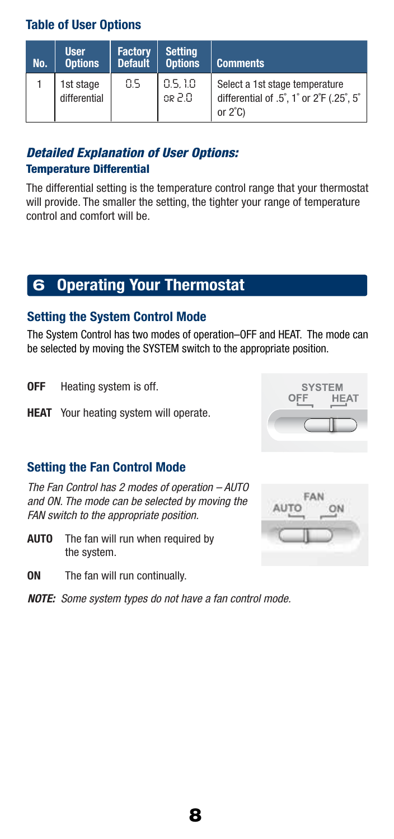### Table of User Options

| No. | <b>User</b><br><b>Options</b> | <b>Factory</b><br><b>Default</b> | <b>Setting</b><br><b>Options</b> | <b>Comments</b>                                                                                 |
|-----|-------------------------------|----------------------------------|----------------------------------|-------------------------------------------------------------------------------------------------|
|     | 1st stage<br>differential     | ns                               | 0.5.10<br>$0.5$ 80               | Select a 1st stage temperature<br>differential of .5°, 1° or 2°F (.25°, 5°<br>or $2^{\circ}$ C) |

#### *Detailed Explanation of User Options:*  Temperature Differential

The differential setting is the temperature control range that your thermostat will provide. The smaller the setting, the tighter your range of temperature control and comfort will be.

# 6 Operating Your Thermostat

#### Setting the System Control Mode

The System Control has two modes of operation–OFF and HEAT. The mode can be selected by moving the SYSTEM switch to the appropriate position.

- **OFF** Heating system is off.
- **HEAT** Your heating system will operate.

### Setting the Fan Control Mode

*The Fan Control has 2 modes of operation – AUTO and ON. The mode can be selected by moving the FAN switch to the appropriate position.*

- **AUTO** The fan will run when required by the system.
- ON The fan will run continually.
- *NOTE: Some system types do not have a fan control mode.*

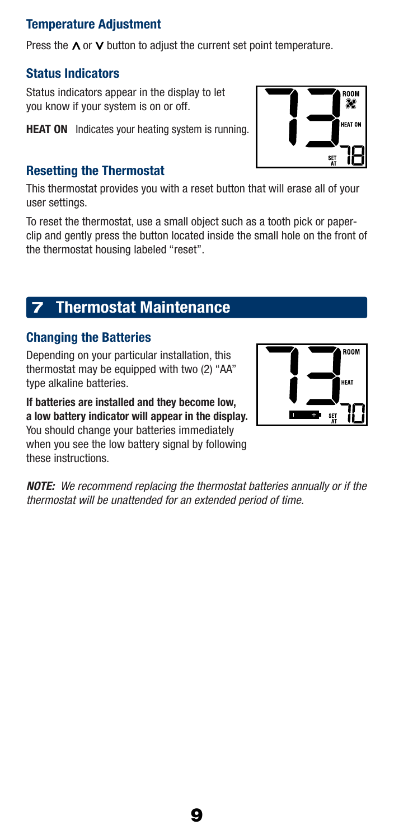#### Temperature Adjustment

Press the  $\wedge$  or  $\vee$  button to adjust the current set point temperature.

#### Status Indicators

Status indicators appear in the display to let you know if your system is on or off.

**HEAT ON** Indicates your heating system is running

#### Resetting the Thermostat

This thermostat provides you with a reset button that will erase all of your user settings.

To reset the thermostat, use a small object such as a tooth pick or paperclip and gently press the button located inside the small hole on the front of the thermostat housing labeled "reset".

# 7 Thermostat Maintenance

#### Changing the Batteries

Depending on your particular installation, this thermostat may be equipped with two (2) "AA" type alkaline batteries.

If batteries are installed and they become low, a low battery indicator will appear in the display. You should change your batteries immediately when you see the low battery signal by following these instructions.

*NOTE: We recommend replacing the thermostat batteries annually or if the thermostat will be unattended for an extended period of time.*